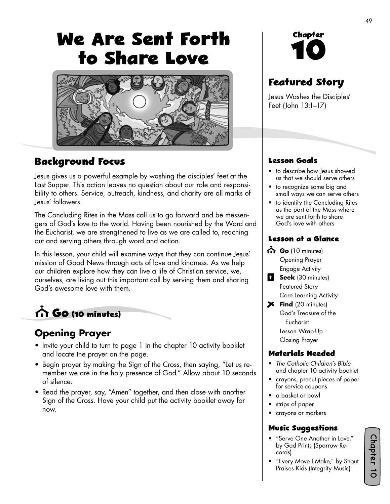# **We Are Sent Forth to Share Love**



## **Background Focus**

Jesus gives us a powerful example by washing the disciples' feet at the Last Supper. This action leaves no question about our role and responsibility to others. Service, outreach, kindness, and charity are all marks of Jesus' followers.

The Concluding Rites in the Mass call us to go forward and be messengers of God's love to the world. Having been nourished by the Word and the Eucharist, we are strengthened to live as we are called to, reaching out and serving others through word and action.

In this lesson, your child will examine ways that they can continue Jesus' mission of Good News through acts of love and kindness. As we help our children explore how they can live a life of Christian service, we, ourselves, are living out this important call by serving them and sharing God's awesome love with them.



## **Opening Prayer**

- Invite your child to turn to page 1 in the chapter 10 activity booklet and locate the prayer on the page.
- Begin prayer by making the Sign of the Cross, then saying, "Let us remember we are in the holy presence of God." Allow about 10 seconds of silence.
- Read the prayer, say, "Amen" together, and then close with another Sign of the Cross. Have your child put the activity booklet away for now.

# **Chapter 10**

## **Featured Story**

Jesus Washes the Disciples' Feet (John 13:1–17)

#### **Lesson Goals**

- to describe how Jesus showed us that we should serve others
- to recognize some big and small ways we can serve others
- to identify the Concluding Rites as the part of the Mass where we are sent forth to share God's love with others

#### **Lesson at a Glance**

- Go (10 minutes) Opening Prayer Engage Activity
- **B** Seek (30 minutes) Featured Story Core Learning Activity
- **Find** (20 minutes) God's Treasure of the Eucharist Lesson Wrap-Up Closing Prayer

#### **Materials Needed**

- *The Catholic Children's Bible*  and chapter 10 activity booklet
- crayons, precut pieces of paper for service coupons
- a basket or bowl
- strips of paper
- crayons or markers

#### **Music Suggestions**

- "Serve One Another in Love," by God Prints (Sparrow Records)
- "Every Move I Make," by Shout Praises Kids (Integrity Music)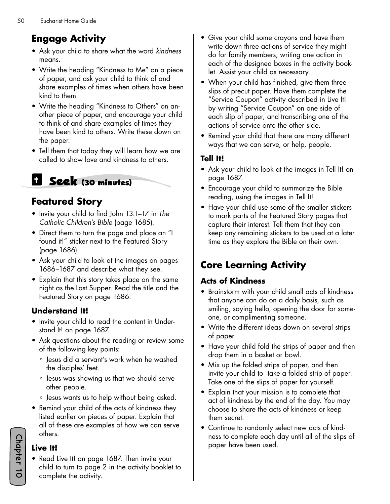# **Engage Activity**

- Ask your child to share what the word *kindness* means.
- Write the heading "Kindness to Me" on a piece of paper, and ask your child to think of and share examples of times when others have been kind to them.
- Write the heading "Kindness to Others" on another piece of paper, and encourage your child to think of and share examples of times they have been kind to others. Write these down on the paper.
- Tell them that today they will learn how we are called to show love and kindness to others.

# **Seek (30 minutes)**

# **Featured Story**

- Invite your child to find John 13:1–17 in *The Catholic Children's Bible* (page 1685).
- Direct them to turn the page and place an "I found it!" sticker next to the Featured Story (page 1686).
- Ask your child to look at the images on pages 1686–1687 and describe what they see.
- Explain that this story takes place on the same night as the Last Supper. Read the title and the Featured Story on page 1686.

### **Understand It!**

- Invite your child to read the content in Understand It! on page 1687.
- Ask questions about the reading or review some of the following key points:
	- ° Jesus did a servant's work when he washed the disciples' feet.
	- ° Jesus was showing us that we should serve other people.
	- ° Jesus wants us to help without being asked.
- Remind your child of the acts of kindness they listed earlier on pieces of paper. Explain that all of these are examples of how we can serve others.

#### **Live It!**

• Read Live It! on page 1687. Then invite your child to turn to page 2 in the activity booklet to complete the activity.

- Give your child some crayons and have them write down three actions of service they might do for family members, writing one action in each of the designed boxes in the activity booklet. Assist your child as necessary.
- When your child has finished, give them three slips of precut paper. Have them complete the "Service Coupon" activity described in Live It! by writing "Service Coupon" on one side of each slip of paper, and transcribing one of the actions of service onto the other side.
- Remind your child that there are many different ways that we can serve, or help, people.

#### **Tell It!**

- Ask your child to look at the images in Tell It! on page 1687.
- Encourage your child to summarize the Bible reading, using the images in Tell It!
- Have your child use some of the smaller stickers to mark parts of the Featured Story pages that capture their interest. Tell them that they can keep any remaining stickers to be used at a later time as they explore the Bible on their own.

# **Core Learning Activity**

#### **Acts of Kindness**

- Brainstorm with your child small acts of kindness that anyone can do on a daily basis, such as smiling, saying hello, opening the door for someone, or complimenting someone.
- Write the different ideas down on several strips of paper.
- Have your child fold the strips of paper and then drop them in a basket or bowl.
- Mix up the folded strips of paper, and then invite your child to take a folded strip of paper. Take one of the slips of paper for yourself.
- Explain that your mission is to complete that act of kindness by the end of the day. You may choose to share the acts of kindness or keep them secret.
- Continue to randomly select new acts of kindness to complete each day until all of the slips of paper have been used.